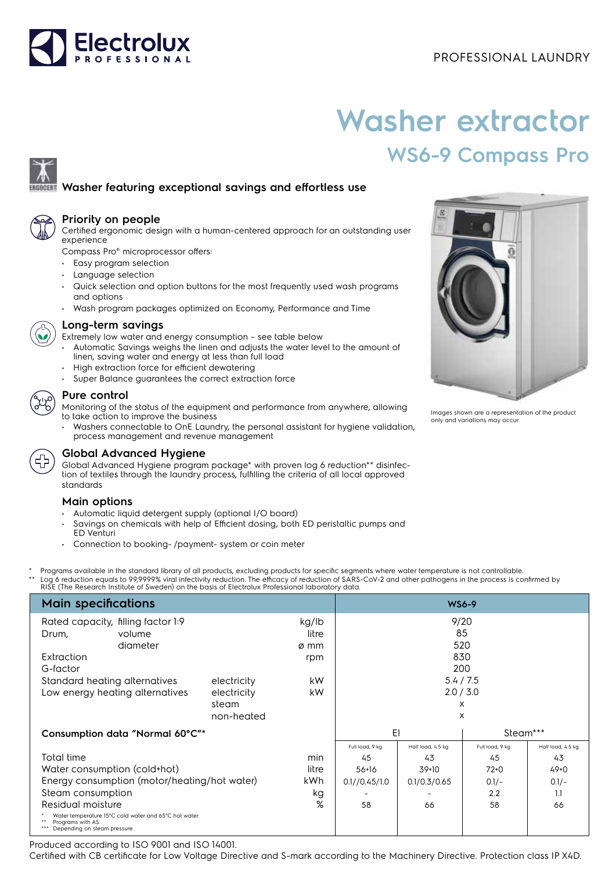

# **Washer extractor WS6-9 Compass Pro**

# **Washer featuring exceptional savings and effortless use**



#### **Priority on people**

Certified ergonomic design with a human-centered approach for an outstanding user experience

Compass Pro® microprocessor offers:

- Easy program selection
- Language selection
- Quick selection and option buttons for the most frequently used wash programs and options
- Wash program packages optimized on Economy, Performance and Time



# **Long-term savings**

- Extremely low water and energy consumption see table below
- Automatic Savings weighs the linen and adjusts the water level to the amount of linen, saving water and energy at less than full load
- High extraction force for efficient dewatering
- Super Balance guarantees the correct extraction force

# **Pure control**

Monitoring of the status of the equipment and performance from anywhere, allowing to take action to improve the business

• Washers connectable to OnE Laundry, the personal assistant for hygiene validation, process management and revenue management



### **Global Advanced Hygiene**

Global Advanced Hygiene program package\* with proven log 6 reduction\*\* disinfection of textiles through the laundry process, fulfilling the criteria of all local approved standards

#### **Main options**

- Automatic liquid detergent supply (optional I/O board)
- Savings on chemicals with help of Efficient dosing, both ED peristaltic pumps and ED Venturi
- Connection to booking- /payment- system or coin meter
- Programs available in the standard library of all products, excluding products for specific segments where water temperature is not controllable.
- \*\* Log 6 reduction equals to 99,9999% viral infectivity reduction. The efficacy of reduction of SARS-CoV-2 and other pathogens in the process is confirmed by<br>RISE (The Research Institute of Sweden) on the basis of Electrol

| <b>Main specifications</b>                                                                                 |             |       | <b>WS6-9</b>     |                   |                 |                   |
|------------------------------------------------------------------------------------------------------------|-------------|-------|------------------|-------------------|-----------------|-------------------|
| Rated capacity, filling factor 1:9                                                                         |             |       | 9/20             |                   |                 |                   |
| volume<br>Drum,                                                                                            |             | litre |                  | 85                |                 |                   |
| diameter                                                                                                   |             | ø mm  |                  | 520               |                 |                   |
| Extraction                                                                                                 |             | rpm   |                  | 830               |                 |                   |
| G-factor                                                                                                   |             |       |                  | 200               |                 |                   |
| Standard heating alternatives                                                                              | electricity | kW    | 5.4/7.5          |                   |                 |                   |
| Low energy heating alternatives                                                                            | electricity | kW    | 2.0 / 3.0        |                   |                 |                   |
|                                                                                                            | steam       |       |                  | X                 |                 |                   |
|                                                                                                            | non-heated  |       |                  |                   | X               |                   |
| Consumption data "Normal 60°C"*                                                                            |             |       | EI               |                   | Steam***        |                   |
|                                                                                                            |             |       | Full load, 9 kg  | Half load, 4.5 kg | Full load, 9 kg | Half load, 4.5 kg |
| Total time                                                                                                 |             | min   | 45               | 43                | 45              | 43                |
| Water consumption (cold+hot)                                                                               |             | litre | $56+16$          | 39+10             | $72+0$          | $49 + 0$          |
| Energy consumption (motor/heating/hot water)                                                               |             | kWh   | $0.1$ //0.45/1.0 | 0.1/0.3/0.65      | $0.1/-$         | $0.1/-$           |
| Steam consumption                                                                                          |             | kg    |                  |                   | 2.2             | 1.1               |
| Residual moisture                                                                                          |             | %     | 58               | 66                | 58              | 66                |
| Water temperature 15°C cold water and 65°C hot water.<br>Programs with AS.<br>Depending on steam pressure. |             |       |                  |                   |                 |                   |

Produced according to ISO 9001 and ISO 14001.

Certified with CB certificate for Low Voltage Directive and S-mark according to the Machinery Directive. Protection class IP X4D.



Images shown are a representation of the product only and variations may occur.